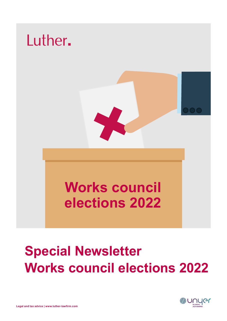

# **Special Newsletter Works council elections 2022**

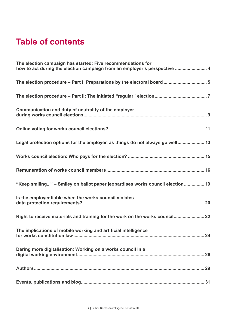# **Table of contents**

| The election campaign has started: Five recommendations for<br>how to act during the election campaign from an employer's perspective  4 |
|------------------------------------------------------------------------------------------------------------------------------------------|
|                                                                                                                                          |
|                                                                                                                                          |
| Communication and duty of neutrality of the employer                                                                                     |
|                                                                                                                                          |
| Legal protection options for the employer, as things do not always go well 13                                                            |
|                                                                                                                                          |
|                                                                                                                                          |
| "Keep smiling" - Smiley on ballot paper jeopardises works council election 19                                                            |
| Is the employer liable when the works council violates                                                                                   |
| Right to receive materials and training for the work on the works council 22                                                             |
| The implications of mobile working and artificial intelligence                                                                           |
| Daring more digitalisation: Working on a works council in a                                                                              |
|                                                                                                                                          |
|                                                                                                                                          |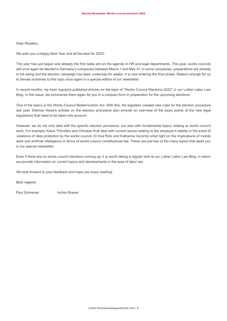Dear Readers,

We wish you a Happy New Year and all the best for 2022!

The year has just begun and already the first tasks are on the agenda in HR and legal departments. This year, works councils will once again be elected in Germany's companies between March 1 and May 31. In some companies, preparations are already in full swing and the election campaign has been underway for weeks. It is now entering the final phase. Reason enough for us to devote ourselves to this topic once again in a special edition of our newsletter.

In recent months, we have regularly published articles on the topic of "Works Council Elections 2022" in our Luther Labor Law Blog. In this issue, we summarise them again for you in a compact form in preparation for the upcoming elections.

One of the topics is the Works Council Modernization Act. With this, the legislator created new rules for the election procedure last year. Dietmar Heise's articles on the election procedure also provide an overview of the basic points of the new legal regulations that need to be taken into account.

However, we do not only deal with the specific election procedure, but also with fundamental topics relating to works council work. For example, Klaus Thönißen and Christian Kuß deal with current issues relating to the employer's liability in the event of violations of data protection by the works council. Dr Eva Rütz and Katharina Gorontzi shed light on the implications of mobile work and artificial intelligence in terms of works council constitutional law. These are just two of the many topics that await you in our special newsletter.

Even if there are no works council elections coming up, it is worth taking a regular look at our Luther Labor Law Blog, in which we provide information on current topics and developments in the area of labor law.

We look forward to your feedback and hope you enjoy reading!

Best regards

Paul Schreiner **Achim Braner**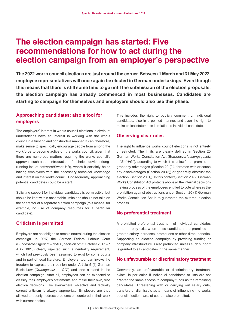# <span id="page-3-0"></span>**The election campaign has started: Five recommendations for how to act during the election campaign from an employer's perspective**

**The 2022 works council elections are just around the corner. Between 1 March and 31 May 2022, employee representatives will once again be elected in German undertakings. Even though this means that there is still some time to go until the submission of the election proposals, the election campaign has already commenced in most businesses. Candidates are starting to campaign for themselves and employers should also use this phase.**

### **Approaching candidates: also a tool for employers**

The employers' interest in works council elections is obvious: undertakings have an interest in working with the works council in a trusting and constructive manner. It can, therefore, make sense to specifically encourage people from among the workforce to become active on the works council, given that there are numerous matters requiring the works council's approval, such as the introduction of technical devices (longrunning issue: software/Sweet HR), where it certainly helps having employees with the necessary technical knowledge and interest on the works council. Consequently, approaching potential candidates could be a start.

Soliciting support for individual candidates is permissible, but should be kept within acceptable limits and should not take on the character of a separate election campaign (this means, for example, no use of company resources for a particular candidate).

#### **Criticism is permitted**

Employers are not obliged to remain neutral during the election campaign. In 2017, the German Federal Labour Court (Bundesarbeitsgericht – "BAG", decision of 25 October 2017 – 7 ABR 10/16) clearly rejected such a neutrality requirement. which had previously been assumed to exist by some courts and in part of legal literature. Employers, too, can invoke the freedom to express their opinion under Article 5 (1) German Basic Law (*Grundgesetz – "GG"*) and take a stand in the election campaign. After all, employees can be expected to classify their employer's statements and make their own, free election decisions. Like everywhere, objective and factually correct criticism is always appropriate. Employers are thus allowed to openly address problems encountered in their work with current bodies.

This includes the right to publicly comment on individual candidates, also in a pointed manner, and even the right to make critical statements in relation to individual candidates.

#### **Observing clear rules**

The right to influence works council elections is not entirely unrestricted. The limits are clearly defined in Section 20 German Works Constitution Act (*Betriebsverfassungsgesetz – "BetrVG"*), according to which it is unlawful to promise or grant any advantages (Section 20 (2)), threaten with or cause any disadvantages (Section 20 (2)) or generally obstruct the election (Section 20 (1)). In this context, Section 20 (2) German Works Constitution Act protects above all the internal decisionmaking process of the employees entitled to vote whereas the prohibition against obstructions under Section 20 (1) German Works Constitution Act is to guarantee the external election process.

#### **No preferential treatment**

A prohibited preferential treatment of individual candidates does not only exist when these candidates are promised or granted salary increases, promotions or other direct benefits. Supporting an election campaign by providing funding or company infrastructure is also prohibited, unless such support is granted to all candidates in the same manner.

#### **No unfavourable or discriminatory treatment**

Conversely, an unfavourable or discriminatory treatment exists, in particular, if individual candidates or lists are not granted the same access to company funds as the remaining candidates. Threatening with or carrying out salary cuts, transfers or dismissals as a means of influencing the works council elections are, of course, also prohibited.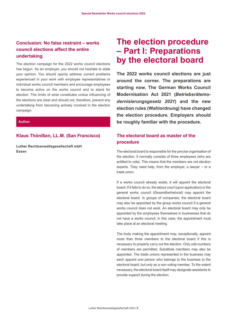# <span id="page-4-0"></span>**Conclusion: No false restraint – works council elections affect the entire undertaking**

The election campaign for the 2022 works council elections has begun. As an employer, you should not hesitate to state your opinion. You should openly address current problems experienced in your work with employee representatives or individual works council members and encourage employees to become active on the works council and to stand for election. The limits of what constitutes undue influencing of the elections are clear and should not, therefore, prevent any undertaking from becoming actively involved in the election campaign.

#### **Author**

#### **Klaus Thönißen, LL.M. (San Francisco)**

**Luther Rechtsanwaltsgesellschaft mbH Essen**

# **The election procedure – Part I: Preparations by the electoral board**

**The 2022 works council elections are just around the corner. The preparations are starting now. The German Works Council Modernisation Act 2021 (***Betriebsrätemodernisierungsgesetz 2021***) and the new election rules (Wahlordnung) have changed the election procedure. Employers should be roughly familiar with the procedure.**

# **The electoral board as master of the procedure**

The electoral board is responsible for the precise organisation of the election. It normally consists of three employees (who are entitled to vote). This means that the members are not election experts. They need help, from the employer, a lawyer – or a trade union.

If a works council already exists, it will appoint the electoral board. If it fails to do so, the labour court (upon application) or the general works council (*Gesamtbetriebsrat*) may appoint the electoral board. In groups of companies, the electoral board may also be appointed by the group works council if a general works council does not exist. An electoral board may only be appointed by the employees themselves in businesses that do not have a works council; in this case, the appointment must take place at an electoral meeting.

The body making the appointment may, exceptionally, appoint more than three members to the electoral board if this is necessary to properly carry out the election. Only odd numbers of members are permitted. Substitute members may also be appointed. The trade unions represented in the business may each appoint one person who belongs to the business to the electoral board, but only as a non-voting member. To the extent necessary, the electoral board itself may designate assistants to provide support during the election.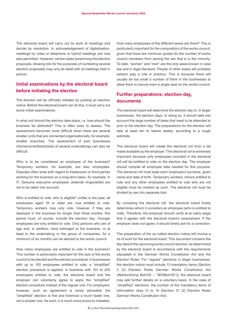The electoral board will carry out its work at meetings and decide by resolution. In acknowledgement of digitalisation, meetings by video or telephone or hybrid meetings are now also permitted. However, certain tasks (examining the election proposals, drawing lots for the purposes of numbering several election proposals) may only be dealt with at meetings held in person.

### **Initial examinations by the electoral board before initiating the election**

The election will be officially initiated by posting an election notice. Before the electoral board can do this, it must carry out some initial examinations:

In what unit should the election take place, i.e. how should the business be delimited? This is often easy to assess. The assessment becomes more difficult when there are several smaller units that are connected organisationally, for example, smaller branches. The assessment of joint businesses (*Gemeinschaftsbetriebe*) of several undertakings can also be difficult.

Who is to be considered an employee of the business? Temporary workers, for example, are also employees. Disputes often arise with regard to freelancers or third parties working for the business on a long-term basis, for example, in IT. Genuine executive employees (*leitende Angestellte*) are not to be taken into account.

Who is entitled to vote, who is eligible? Unlike in the past, all employees aged 16 or older are now entitled to vote. Temporary workers may only vote, however, if they are deployed in the business for longer than three months; this period must, of course, include the election day. Younger employees are only entitled to vote. Only persons who are of age and, in addition, have belonged to the business, or at least to the undertaking or the group of companies, for a minimum of six months can be elected to the works council.

How many employees are entitled to vote in the business? This number is particularly important for the size of the works council to be elected and the election procedure: in businesses with up to 100 employees entitled to vote, a "simplified" election procedure is applied; in business with 101 to 200 employees entitled to vote, the electoral board and the employer can voluntarily agree to apply the "simplified" election procedure instead of the regular one. For employers, however, such an agreement is rarely advisable: the "simplified" election is first and foremost a much faster one, not a simpler one. As such, it is much more prone to mistakes.

How many employees of the different sexes are there? This is particularly important for the composition of the works council, given that there are minimum quotas for the number of works council members from among the sex that is in the minority. To date, "women" and "men" are the only sexes known in case law and in legal literature. People of other sexes will probably seldom play a role in practice. This is because there will usually be too small a number of them in the businesses to allow them to secure even a single seat on the works council.

### **Further preparations: election day, documents**

The electoral board will determine the election day or, in larger businesses, the election days. In doing so, it should take into account the large number of tasks that need to be attended to prior to the election day. The preparations for the election will take at least ten to twelve weeks, according to a rough estimate.

The electoral board will create the electoral roll from a list made available by the employer. This electoral roll is extremely important because only employees included in the electoral roll will be entitled to vote on the election day. The employer should compile all employee data needed for this purpose. The electoral roll must state each employee's surname, given name and date of birth. Temporary workers, minors entitled to vote and any other employees entitled to vote who are not eligible must be marked as such. The electoral roll must be divided by sex into separate lists.

By compiling the electoral roll, the electoral board finally determines whom it considers an employee (who is entitled to vote). Therefore, the employer should verify at an early stage that it agrees with the electoral board's assessment. If the employer does not agree, it should timely ask for a correction.

The preparation of the so-called election notice will involve a lot of work for the electoral board. This document contains the key data of the upcoming works council election, as determined by the electoral board in accordance with the requirements stipulated in the German Works Constitution Act and the Election Rules. For "regular" elections in larger businesses, the election notice must include 13 mandatory items (Section 3 (2) Election Rules German Works Constitution Act (*Wahlordnung BetrVG – "WOBetrVG"*)); the electoral board may add further details on a voluntary basis. In the case of "simplified" elections, the number of the mandatory items of information rises (!) to 15 (Section 31 (2) Election Rules German Works Constitution Act).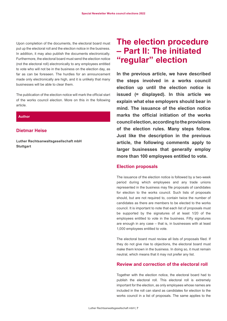<span id="page-6-0"></span>Upon completion of the documents, the electoral board must put up the electoral roll and the election notice in the business. In addition, it may also publish the documents electronically. Furthermore, the electoral board must send the election notice (not the electoral roll) electronically to any employees entitled to vote who will not be in the business on the election day, as far as can be foreseen. The hurdles for an announcement made only electronically are high, and it is unlikely that many businesses will be able to clear them.

The publication of the election notice will mark the official start of the works council election. More on this in the following article.

#### **Author**

#### **Dietmar Heise**

**Luther Rechtsanwaltsgesellschaft mbH Stuttgart**

# **The election procedure – Part II: The initiated "regular" election**

**In the previous article, we have described the steps involved in a works council election up until the election notice is issued (= displayed). In this article we explain what else employers should bear in mind. The issuance of the election notice marks the official initiation of the works council election, according to the provisions of the election rules. Many steps follow. Just like the description in the previous article, the following comments apply to larger businesses that generally employ more than 100 employees entitled to vote.**

#### **Election proposals**

The issuance of the election notice is followed by a two-week period during which employees and any trade unions represented in the business may file proposals of candidates for election to the works council. Such lists of proposals should, but are not required to, contain twice the number of candidates as there are members to be elected to the works council. It is important to note that each list of proposals must be supported by the signatures of at least 1/20 of the employees entitled to vote in the business. Fifty signatures are enough in any case – that is, in businesses with at least 1,000 employees entitled to vote.

The electoral board must review all lists of proposals filed. If they do not give rise to objections, the electoral board must make them known in the business. In doing so, it must remain neutral, which means that it may not prefer any list.

#### **Review and correction of the electoral roll**

Together with the election notice, the electoral board had to publish the electoral roll. This electoral roll is extremely important for the election, as only employees whose names are included in the roll can stand as candidates for election to the works council in a list of proposals. The same applies to the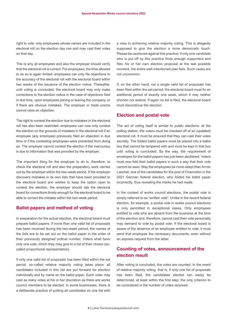right to vote: only employees whose names are included in the electoral roll on the election day can and may cast their votes on that day.

This is why all employees and also the employer should verify that the electoral roll is correct. For employees, the time allowed to do so is again limited: employees can only file objections to the accuracy of the electoral roll with the electoral board within two weeks of the issuance of the election notice. Thereafter, until voting is concluded, the electoral board may only make corrections to the election notice in the case of objections filed in due time, upon employees joining or leaving the company, or if there are obvious mistakes. The employer or trade unions cannot raise an objection.

The right to contest the election due to mistakes in the electoral roll has also been restricted: employees can now only contest the election on the grounds of mistakes in the electoral roll if an employee (any employee) previously filed an objection in due time or if the contesting employees were prevented from doing so. The employer cannot contest the election if the inaccuracy is due to information that was provided by the employer.

The important thing for the employer to do is, therefore, to check the electoral roll and also the preparatory work carried out by the employer within the two-week period. If the employer discovers mistakes in its own lists that have been provided to the electoral board and wishes to keep the option open to contest the election, the employer should ask the electoral board for corrections timely enough for the electoral board to be able to correct the mistake within the two-week period.

#### **Ballot papers and method of voting**

In preparation for the actual election, the electoral board must prepare ballot papers. If more than one valid list of proposals has been received during the two-week period, the names of the lists are to be set out on the ballot paper in the order of their previously assigned ordinal number. Voters shall have only one vote, which they may give to a list of their choice (socalled proportional representation).

If only one valid list of proposals has been filed within the set period, so-called relative majority voting takes place: all candidates included in this list are put forward for election individually and by name on the ballot paper. Each voter may cast as many votes at his or her discretion as there are works council members to be elected. In some businesses, there is a deliberate practice of putting all candidates on one list with

a view to achieving relative majority voting. This is allegedly supposed to give the election a more democratic touch. Please be cautioned against this practice: if only one candidate who is put off by this practice finds enough supporters and files his or her own election proposal at the last possible moment, the entire well-intentioned plan fails. Such cases are not uncommon.

If, on the other hand, not a single valid list of proposals has been filed within the set period, the electoral board must fix an additional period of exactly one week, which it may neither shorten nor extend. If again no list is filed, the electoral board must discontinue the election.

#### **Election and postal vote**

The act of voting itself is similar to public elections: at the polling station, the voters must be checked off of an (updated) electoral roll. It must be ensured that they can cast their votes secretly. The folded ballot papers must be placed into a ballot box that cannot be tampered with and must be kept in that box until voting is concluded. By the way, the requirement of envelopes for the ballot papers has just been abolished. Voters must now fold their ballot papers in such a way that their vote cannot be seen. May the employees be more adept than Armin Laschet, one of the candidates for the post of Chancellor in the 2021 German federal election, who folded his ballot paper incorrectly, thus revealing the marks he had made.

In the context of works council elections, the postal vote is simply referred to as "written vote". Unlike in the recent federal election, for example, a postal vote in works council elections is only permitted in exceptional cases. Only employees entitled to vote who are absent from the business at the time of the election and, therefore, cannot cast their vote personally may demand to vote by postal vote. If the electoral board is aware of the absence of an employee entitled to vote, it must send that employee the necessary documents, even without an express request from the latter.

### **Counting of votes, announcement of the election result**

After voting is concluded, the votes are counted. In the event of relative majority voting, that is, if only one list of proposals has been filed, the candidates elected can easily be determined, at least within the first step: the only criterion to be considered is the number of votes received.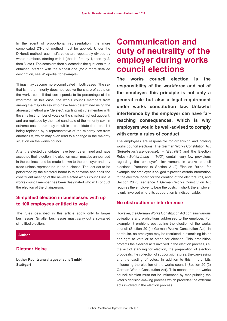<span id="page-8-0"></span>In the event of proportional representation, the more complicated D'Hondt method must be applied. Under the D'Hondt method, each list's votes are repeatedly divided by whole numbers, starting with 1 (that is, first by 1, then by 2, then 3, etc.). The seats are then allocated to the quotients thus obtained, starting with the highest one (for a more detailed description, see Wikipedia, for example).

Things may become more complicated in both cases if the sex that is in the minority does not receive the share of seats on the works council that corresponds to its percentage of the workforce. In this case, the works council members from among the majority sex who have been determined using the aforesaid method are "deleted", starting with the member with the smallest number of votes or the smallest highest quotient, and are replaced by the next candidate of the minority sex. In extreme cases, this may result in a candidate from one list being replaced by a representative of the minority sex from another list, which may even lead to a change in the majority situation on the works council.

After the elected candidates have been determined and have accepted their election, the election result must be announced in the business and be made known to the employer and any trade unions represented in the business. The last act to be performed by the electoral board is to convene and chair the constituent meeting of the newly elected works council until a works council member has been designated who will conduct the election of the chairperson.

### **Simplified election in businesses with up to 100 employees entitled to vote**

The rules described in this article apply only to larger businesses. Smaller businesses must carry out a so-called simplified election.

#### **Author**

### **Dietmar Heise**

**Luther Rechtsanwaltsgesellschaft mbH Stuttgart**

# **Communication and duty of neutrality of the employer during works council elections**

**The works council election is the responsibility of the workforce and not of the employer: this principle is not only a general rule but also a legal requirement under works constitution law. Unlawful interference by the employer can have farreaching consequences, which is why employers would be well-advised to comply with certain rules of conduct.**

The employees are responsible for organising and holding works council elections. The German Works Constitution Act (*Betriebsverfassungsgesetz – "BetrVG"*) and the Election Rules (*Wahlordnung – "WO"*) contain very few provisions regarding the employer's involvement in works council elections. Pursuant to Section 2 (2) Election Rules, for example, the employer is obliged to provide certain information to the electoral board for the creation of the electoral roll, and Section 20 (3) sentence 1 German Works Constitution Act requires the employer to bear the costs. In short, the employer is only involved where its cooperation is indispensable.

#### **No obstruction or interference**

However, the German Works Constitution Act contains various obligations and prohibitions addressed to the employer. For example, it prohibits obstructing the election of the works council (Section 20 (1) German Works Constitution Act); in particular, no employee may be restricted in exercising his or her right to vote or to stand for election. This prohibition protects the external acts involved in the election process, i.e. the act of standing for election, the preparation of election proposals, the collection of support signatures, the canvassing and the casting of votes. In addition to this, it prohibits influencing the election of the works council (Section 20 (2) German Works Constitution Act). This means that the works council election must not be influenced by manipulating the voter's decision-making process which precedes the external acts involved in the election process.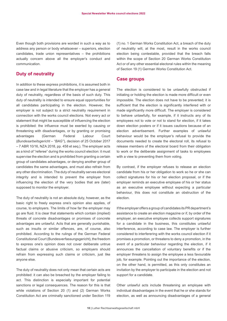Even though both provisions are worded in such a way as to address any person or body whatsoever – superiors, election candidates, trade union representatives – the prohibitions actually concern above all the employer's conduct and communication.

#### **Duty of neutrality**

In addition to these express prohibitions, it is assumed both in case law and in legal literature that the employer has a general duty of neutrality, regardless of the basis of such duty. This duty of neutrality is intended to ensure equal opportunities for all candidates participating in the election. However, the employer is not subject to a strict neutrality requirement in connection with the works council elections. Not every act or statement that might be susceptible of influencing the election is prohibited: the influence must be exerted by causing or threatening with disadvantages, or by granting or promising advantages (German Federal Labour Court (*Bundesarbeitsgericht – "BAG"*), decision of 25 October 2017 – 7 ABR 10/16, NZA 2018, pp. 458 et seq.). The employer acts as a kind of "referee" during the works council election: it must supervise the election and is prohibited from granting a certain group of candidates advantages, or denying another group of candidates the same advantages, and must also refrain from any other discrimination. The duty of neutrality serves electoral integrity and is intended to prevent the employer from influencing the election of the very bodies that are (later) supposed to monitor the employer.

The duty of neutrality is not an absolute duty, however, as the basic right to freely express one's opinion also applies, of course, to employers. The limits of how far the employer may go are fluid. It is clear that statements which contain (implied) threats of concrete disadvantages or promises of concrete advantages are unlawful. Acts that are generally punishable, such as insults or similar offences, are, of course, also prohibited. According to the rulings of the German Federal Constitutional Court (Bundesverfassungsgericht), the freedom to express one's opinion does not cover deliberate untrue factual claims or abusive criticism, so employers should refrain from expressing such claims or criticism, just like anyone else.

The duty of neutrality does not only mean that certain acts are prohibited: it can also be breached by the employer failing to act. This distinction is especially important for potential sanctions or legal consequences. The reason for this is that while violations of Section 20 (1) and (2) German Works Constitution Act are criminally sanctioned under Section 119

(1) no. 1 German Works Constitution Act, a breach of the duty of neutrality will, at the most, result in the works council election being contestable, provided that the breach falls within the scope of Section 20 German Works Constitution Act or of any other essential electoral rules within the meaning of Section 19 (1) German Works Constitution Act.

#### **Case groups**

The election is considered to be unlawfully obstructed if initiating or holding the election is made more difficult or even impossible. The election does not have to be prevented; it is sufficient that the election is significantly interfered with or made significantly more difficult. The employer is considered to behave unlawfully, for example, if it instructs any of its employees not to vote or not to stand for election, if it takes down election posters or if it issues cautions because of an election advertisement. Further examples of unlawful behaviour would be the employer's refusal to provide the documents needed to create the electoral roll, its refusal to release members of the electoral board from their obligation to work or the deliberate assignment of tasks to employees with a view to preventing them from voting.

By contrast, if the employer refuses to release an election candidate from his or her obligation to work so he or she can collect signatures for his or her election proposal, or if the employer reminds an executive employee of his or her status as an executive employee without expecting a particular behaviour, this does not constitute an obstruction of the election.

If the employer offers a group of candidates its PR department's assistance to create an election magazine or if, by order of the employer, an executive employee collects support signatures for a candidate in the business, this constitutes unlawful interference, according to case law. The employer is further considered to interferering with the works council election if it promises a promotion, or threatens to deny a promotion, in the event of a particular behaviour regarding the election, if it announces the cancellation of voluntary benefits or if the employer threatens to assign the employee a less favourable job, for example. Pointing out the importance of the election, on the other hand, is permitted, as this only constitutes an invitation by the employer to participate in the election and not support for a candidate.

Other unlawful acts include threatening an employee with individual disadvantages in the event that he or she stands for election, as well as announcing disadvantages of a general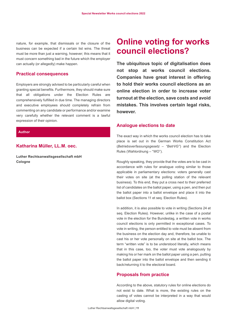<span id="page-10-0"></span>nature, for example, that dismissals or the closure of the business can be expected if a certain list wins. The threat must be more than just a warning, however; this means that it must concern something bad in the future which the employer can actually (or allegedly) make happen.

#### **Practical consequences**

Employers are strongly advised to be particularly careful when granting special benefits. Furthermore, they should make sure that all obligations under the Election Rules are comprehensively fulfilled in due time. The managing directors and executive employees should completely refrain from commenting on any candidate or performance and/or examine very carefully whether the relevant comment is a lawful expression of their opinion.

#### **Author**

#### **Katharina Müller, LL.M. oec.**

**Luther Rechtsanwaltsgesellschaft mbH Cologne**

# **Online voting for works council elections?**

**The ubiquitous topic of digitalisation does not stop at works council elections. Companies have great interest in offering to hold their works council elections as an online election in order to increase voter turnout at the election, save costs and avoid mistakes. This involves certain legal risks, however.**

#### **Analogue elections to date**

The exact way in which the works council election has to take place is set out in the German Works Constitution Act (*Betriebsverfassungsgesetz – "BetrVG"*) and the Election Rules (Wahlordnung – "WO").

Roughly speaking, they provide that the votes are to be cast in accordance with rules for analogue voting similar to those applicable in parliamentary elections: voters generally cast their votes on site (at the polling station of the relevant business). To this end, they put a cross next to their preferred list of candidates on the ballot paper, using a pen, and then put the ballot paper into a ballot envelope and place it into the ballot box (Sections 11 et seq. Election Rules).

In addition, it is also possible to vote in writing (Sections 24 et seq. Election Rules). However, unlike in the case of a postal vote in the election for the Bundestag, a written vote in works council elections is only permitted in exceptional cases. To vote in writing, the person entitled to vote must be absent from the business on the election day and, therefore, be unable to cast his or her vote personally on site at the ballot box. The term "written vote" is to be understood literally, which means that in this case, too, the voter must vote analogously by making his or her mark on the ballot paper using a pen, putting the ballot paper into the ballot envelope and then sending it back/returning it to the electoral board.

#### **Proposals from practice**

According to the above, statutory rules for online elections do not exist to date. What is more, the existing rules on the casting of votes cannot be interpreted in a way that would allow digital voting.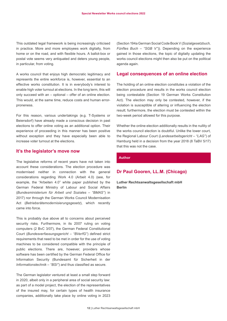This outdated legal framework is being increasingly criticised in practice. More and more employees work digitally, from home or on the road, and with flexible hours. A ballot-box or postal vote seems very antiquated and deters young people, in particular, from voting.

A works council that enjoys high democratic legitimacy and represents the entire workforce is, however, essential to an effective works constitution. It is in everybody's interest to enable high voter turnout at elections. In the long term, this will only succeed with an – optional – offer of an online election. This would, at the same time, reduce costs and human errorproneness.

For this reason, various undertakings (e.g. T-Systems or Beiersdorf) have already made a conscious decision in past elections to offer online voting as an additional option. Their experience of proceeding in this manner has been positive without exception and they have especially been able to increase voter turnout at the elections.

#### **It's the legislator's move now**

The legislative reforms of recent years have not taken into account these considerations. The election procedure was modernised neither in connection with the general considerations regarding Work 4.0 (Arbeit 4.0) (see, for example, the "Arbeiten 4.0" white paper published by the German Federal Ministry of Labour and Social Affairs (*Bundesministerium für Arbeit und Soziales – "BMAS"*) in 2017) nor through the German Works Council Modernisation Act (*Betriebsrätemodernisierungsgesetz*), which recently came into force.

This is probably due above all to concerns about perceived security risks. Furthermore, in its 2007 ruling on voting computers (2 BvC 3/07), the German Federal Constitutional Court (*Bundesverfassungsgericht – "BVerfG"*) defined strict requirements that need to be met in order for the use of voting machines to be considered compatible with the principle of public elections. There are, however, providers whose software has been certified by the German Federal Office for Information Security (Bundesamt für Sicherheit in der *Informationstechnik – "BSI"*) and thus classified as secure.

The German legislator ventured at least a small step forward in 2020, albeit only in a peripheral area of social security law: as part of a model project, the election of the representatives of the insured may, for certain types of health insurance companies, additionally take place by online voting in 2023

(Section 194a German Social Code Book V (*Sozialgesetzbuch, Fünftes Buch – "SGB V"*)). Depending on the experience gained in those elections, the topic of digitally updating the works council elections might then also be put on the political agenda again.

#### **Legal consequences of an online election**

The holding of an online election constitutes a violation of the election procedure and results in the works council election being contestable (Section 19 German Works Constitution Act). The election may only be contested, however, if the violation is susceptible of altering or influencing the election result; furthermore, the election must be contested within the two-week period allowed for this purpose.

Whether the online election additionally results in the nullity of the works council election is doubtful. Unlike the lower court, the Regional Labour Court (*Landesarbeitsgericht – "LAG"*) of Hamburg held in a decision from the year 2018 (8 TaBV 5/17) that this was not the case.

#### **Author**

#### **Dr Paul Gooren, LL.M. (Chicago)**

**Luther Rechtsanwaltsgesellschaft mbH Berlin**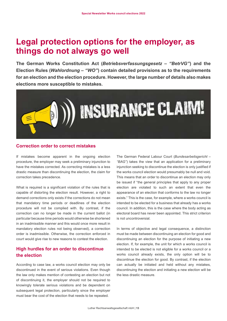# <span id="page-12-0"></span>**Legal protection options for the employer, as things do not always go well**

**The German Works Constitution Act (***Betriebsverfassungsgesetz – "BetrVG"***) and the Election Rules (***Wahlordnung – "WO"***) contain detailed provisions as to the requirements for an election and the election procedure. However, the large number of details also makes elections more susceptible to mistakes.**



#### **Correction order to correct mistakes**

If mistakes become apparent in the ongoing election procedure, the employer may seek a preliminary injunction to have the mistakes corrected. As correcting mistakes is a less drastic measure than discontinuing the election, the claim for correction takes precedence.

What is required is a significant violation of the rules that is capable of distorting the election result. However, a right to demand corrections only exists if the corrections do not mean that mandatory time periods or deadlines of the election procedure will not be complied with. By contrast, if the correction can no longer be made in the current ballot (in particular because time periods would otherwise be shortened in an inadmissible manner and this would once more result in mandatory election rules not being observed), a correction order is inadmissible. Otherwise, the correction enforced in court would give rise to new reasons to contest the election.

# **High hurdles for an order to discontinue the election**

According to case law, a works council election may only be discontinued in the event of serious violations. Even though the law only makes mention of contesting an election but not of discontinuing it, the employer should not be required to knowingly tolerate serious violations and be dependent on subsequent legal protection, particularly since the employer must bear the cost of the election that needs to be repeated.

The German Federal Labour Court (*Bundesarbeitsgericht – "BAG"*) takes the view that an application for a preliminary injunction seeking to discontinue the election is only justified if the works council election would presumably be null and void. This means that an order to discontinue an election may only be issued if "the general principles that apply to any proper election are violated to such an extent that even the appearance of an election that conforms to the law no longer exists." This is the case, for example, where a works council is intended to be elected for a business that already has a works council. In addition, this is the case where the body acting as electoral board has never been appointed. This strict criterion is not uncontroversial.

In terms of objective and legal consequence, a distinction must be made between discontinuing an election for good and discontinuing an election for the purpose of initiating a new election. If, for example, the unit for which a works council is intended to be elected is not eligible for a works council or a works council already exists, the only option will be to discontinue the election for good. By contrast, if the election can actually be initiated and held without any mistakes, discontinuing the election and initiating a new election will be the less drastic measure.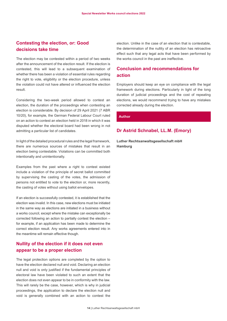# **Contesting the election, or: Good decisions take time**

The election may be contested within a period of two weeks after the announcement of the election result. If the election is contested, this will lead to a subsequent examination of whether there has been a violation of essential rules regarding the right to vote, eligibility or the election procedure, unless the violation could not have altered or influenced the election result.

Considering the two-week period allowed to contest an election, the duration of the proceedings when contesting an election is considerable. By decision of 29 April 2021 (7 ABR 10/20), for example, the German Federal Labour Court ruled on an action to contest an election held in 2018 in which it was disputed whether the electoral board had been wrong in not admitting a particular list of candidates.

In light of the detailed procedural rules and the legal framework, there are numerous sources of mistakes that result in an election being contestable. Violations can be committed both intentionally and unintentionally.

Examples from the past where a right to contest existed include a violation of the principle of secret ballot committed by supervising the casting of the votes, the admission of persons not entitled to vote to the election or, more recently, the casting of votes without using ballot envelopes.

If an election is successfully contested, it is established that the election was invalid. In this case, new elections must be initiated in the same way as elections are initiated in a business without a works council, except where the mistake can exceptionally be corrected following an action to partially contest the election – for example, if an application has been made to determine the correct election result. Any works agreements entered into in the meantime will remain effective though.

# **Nullity of the election if it does not even appear to be a proper election**

The legal protection options are completed by the option to have the election declared null and void. Declaring an election null and void is only justified if the fundamental principles of electoral law have been violated to such an extent that the election does not even appear to be in conformity with the law. This will rarely be the case, however, which is why in judicial proceedings, the application to declare the election null and void is generally combined with an action to contest the

election. Unlike in the case of an election that is contestable, the determination of the nullity of an election has retroactive effect such that any legal acts that have been performed by the works council in the past are ineffective.

### **Conclusion and recommendations for action**

Employers should keep an eye on compliance with the legal framework during elections. Particularly in light of the long duration of judicial proceedings and the cost of repeating elections, we would recommend trying to have any mistakes corrected already during the election.

#### **Author**

#### **Dr Astrid Schnabel, LL.M. (Emory)**

**Luther Rechtsanwaltsgesellschaft mbH Hamburg**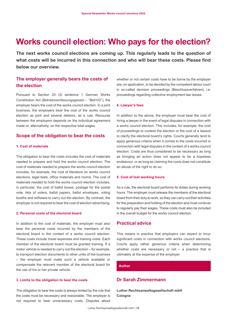# <span id="page-14-0"></span>**Works council election: Who pays for the election?**

**The next works council elections are coming up. This regularly leads to the question of what costs will be incurred in this connection and who will bear these costs. Please find below our overview.**

### **The employer generally bears the costs of the election**

Pursuant to Section 20 (3) sentence 1 German Works Constitution Act (*Betriebsverfassungsgesetz – "BetrVG"*), the employer bears the cost of the works council election. In a joint business, the employers bear the cost of the works council election as joint and several debtors, as a rule. Recourse between the employers depends on the individual agreement made or, alternatively, on the respective total wages.

#### **Scope of the obligation to bear the costs**

#### **1. Cost of materials**

The obligation to bear the costs includes the cost of materials needed to prepare and hold the works council election. The cost of materials needed to prepare the works council election includes, for example, the cost of literature on works council elections, legal tests, office materials and rooms. The cost of materials needed to hold the works council election includes, in particular, the cost of ballot boxes, postage for the postal vote, lists of voters, ballot papers, ballot envelopes, voting booths and software to carry out the election. By contrast, the employer is not required to bear the cost of election advertising.

#### **2. Personal costs of the electoral board**

In addition to the cost of materials, the employer must also bear the personal costs incurred by the members of the electoral board in the context of a works council election. These costs include travel expenses and training costs. Each member of the electoral board must be granted training. If a motor vehicle is needed to carry out the election – for example, to transport election documents to other units of the business – the employer must make such a vehicle available or compensate the relevant member of the electoral board for the use of his or her private vehicle.

#### **3. Limits to the obligation to bear the costs**

The obligation to bear the costs is always limited by the rule that the costs must be necessary and reasonable. The employer is not required to bear unnecessary costs. Disputes about whether or not certain costs have to be borne by the employer are, on application, to be decided by the competent labour court in so-called decision proceedings (Beschlussverfahren), i.e. proceedings regarding collective employment law issues.

#### **4. Lawyer's fees**

In addition to the above, the employer must bear the cost of hiring a lawyer in the event of legal disputes in connection with a works council election. This includes, for example, the cost of proceedings to contest the election or the cost of a lawsuit to clarify the electoral board's rights. Courts generally tend to apply generous criteria when it comes to the costs incurred in connection with legal disputes in the context of a works council election. Costs are thus considered to be necessary as long as bringing an action does not appear to be a hopeless endeavour, or as long as claiming the costs does not constitute an abuse of the right to do so.

#### **5. Cost of lost working hours**

As a rule, the electoral board performs its duties during working hours. The employer must release the members of the electoral board from their duty to work, so they can carry out their activities for the preparation and holding of the election and must continue to regularly pay their wages. These costs must also be included in the overall budget for the works council election.

#### **Practical advice**

This means in practice that employers can expect to incur significant costs in connection with works council elections. Courts apply rather generous criteria when determining whether costs are necessary or not – a practice that is ultimately at the expense of the employer.

#### **Author**

### **Dr Sarah Zimmermann**

**Luther Rechtsanwaltsgesellschaft mbH Cologne**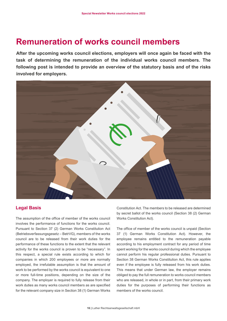# <span id="page-15-0"></span>**Remuneration of works council members**

**After the upcoming works council elections, employers will once again be faced with the task of determining the remuneration of the individual works council members. The following post is intended to provide an overview of the statutory basis and of the risks involved for employers.**



#### **Legal Basis**

The assumption of the office of member of the works council involves the performance of functions for the works council. Pursuant to Section 37 (2) German Works Constitution Act (Betriebsverfassungsgesetz – BetrVG), members of the works council are to be released from their work duties for the performance of these functions to the extent that the relevant activity for the works council is proven to be "necessary". In this respect, a special rule exists according to which for companies in which 200 employees or more are normally employed, the irrefutable assumption is that the amount of work to be performed by the works council is equivalent to one or more full-time positions, depending on the size of the company. The employer is required to fully release from their work duties as many works council members as are specified for the relevant company size in Section 38 (1) German Works Constitution Act. The members to be released are determined by secret ballot of the works council (Section 38 (2) German Works Constitution Act).

The office of member of the works council is unpaid (Section 37 (1) German Works Constitution Act). However, the employee remains entitled to the remuneration payable according to his employment contract for any period of time spent working for the works council during which the employee cannot perform his regular professional duties. Pursuant to Section 38 German Works Constitution Act, this rule applies even if the employee is fully released from his work duties. This means that under German law, the employer remains obliged to pay the full remuneration to works council members who are released, in whole or in part, from their primary work duties for the purposes of performing their functions as members of the works council.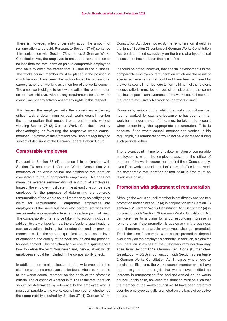There is, however, often uncertainty about the amount of remuneration to be paid. Pursuant to Section 37 (4) sentence 1 in conjunction with Section 78 sentence 2 German Works Constitution Act, the employee is entitled to remuneration of no less than the remuneration paid to comparable employees who have followed the career that is usual in the business. The works council member must be placed in the position in which he would have been if he had continued his professional career, rather than working as a member of the works council. The employer is obliged to review and adjust the remuneration on its own initiative, without any requirement for the works council member to actively assert any rights in this respect.

This leaves the employer with the sometimes extremely difficult task of determining for each works council member the remuneration that meets these requirements without violating Section 78 (2) German Works Constitution Act by disadvantaging or favouring the respective works council member. Violations of the aforesaid provision are regularly the subject of decisions of the German Federal Labour Court.

#### **Comparable employees**

Pursuant to Section 37 (4) sentence 1 in conjunction with Section 78 sentence 1 German Works Constitution Act, members of the works council are entitled to remuneration comparable to that of comparable employees. This does not mean the average remuneration of a group of employees. Instead, the employer must determine at least one comparable employee for the purposes of determining the concrete remuneration of the works council member by objectifying the claim for remuneration. Comparable employees are employees of the same business who perform activities that are essentially comparable from an objective point of view. The comparability criteria to be taken into account include, in addition to the work performed, the professional qualifications, such as vocational training, further education and the previous career, as well as the personal qualifications, such as the level of education, the quality of the work results and the potential for development. This can already give rise to disputes about how to define the term "business" and, hence, about which employees should be included in the comparability check.

In addition, there is also dispute about how to proceed in the situation where no employee can be found who is comparable to the works council member on the basis of the aforesaid criteria. The question of whether in this case the remuneration should be determined by reference to the employee who is most comparable to the works council member or whether, as the comparability required by Section 37 (4) German Works

Constitution Act does not exist, the remuneration should, in the light of Section 78 sentence 2 German Works Constitution Act, be determined exclusively on the basis of a hypothetical assessment has not been finally clarified.

It should be noted, however, that special developments in the comparable employees' remuneration which are the result of special achievements that could not have been achieved by the works council member due to non-fulfilment of the relevant access criteria must be left out of consideration; the same applies to special achievements of the works council member that regard exclusively his work on the works council.

Conversely, periods during which the works council member has not worked, for example, because he has been unfit for work for a longer period of time, must be taken into account when determining the appropriate remuneration. This is because if the works council member had worked in his regular job, his remuneration would not have increased during such periods, either.

The relevant point in time for this determination of comparable employees is when the employee assumes the office of member of the works council for the first time. Consequently, even if the works council member's term of office is renewed, the comparable remuneration at that point in time must be taken as a basis.

#### **Promotion with adjustment of remuneration**

Although the works council member is not directly entitled to a promotion under Section 37 (4) in conjunction with Section 78 sentence 2 German Works Constitution Act, Section 37 (4) in conjunction with Section 78 German Works Constitution Act can give rise to a claim for a corresponding increase in remuneration if the promotion is customary in the business and, therefore, comparable employees also get promoted. This is the case, for example, when certain promotions depend exclusively on the employee's seniority. In addition, a claim for remuneration in excess of the customary remuneration may arise from Section 611a German Civil Code (Bürgerliches Gesetzbuch – BGB) in conjunction with Section 78 sentence 2 German Works Constitution Act in cases where, due to special qualifications, the works council member would have been assigned a better job that would have justified an increase in remuneration if he had not worked on the works council. In this case, however, the situation must be such that the member of the works council would have been preferred over the employee actually promoted on the basis of objective criteria.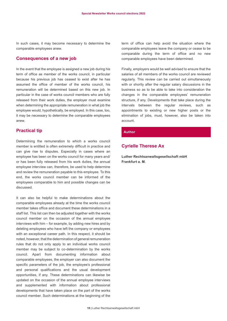In such cases, it may become necessary to determine the comparable employees anew.

#### **Consequences of a new job**

In the event that the employee is assigned a new job during his term of office as member of the works council, in particular because his previous job has ceased to exist after he has assumed the office of member of the works council, his remuneration will be determined based on this new job. In particular in the case of works council members who are fully released from their work duties, the employer must examine when determining the appropriate remuneration in what job the employee would, hypothetically, be employed. In this case, too, it may be necessary to determine the comparable employees anew.

#### **Practical tip**

Determining the remuneration to which a works council member is entitled is often extremely difficult in practice and can give rise to disputes. Especially in cases where an employee has been on the works council for many years and/ or has been fully released from his work duties, the annual employee interview can, therefore, be used to help determine and review the remuneration payable to this employee. To this end, the works council member can be informed of the employees comparable to him and possible changes can be discussed.

It can also be helpful to make determinations about the comparable employees already at the time the works council member takes office and document these determinations in a staff list. This list can then be adjusted together with the works council member on the occasion of the annual employee interviews with him – for example, by adding new hires and by deleting employees who have left the company or employees with an exceptional career path. In this respect, it should be noted, however, that the determination of general remuneration rules that do not only apply to an individual works council member may be subject to co-determination by the works council. Apart from documenting information about comparable employees, the employer can also document the specific parameters of the job, the employee's professional and personal qualifications and the usual development opportunities, if any. These determinations can likewise be updated on the occasion of the annual employee interviews and supplemented with information about professional developments that have taken place on the part of the works council member. Such determinations at the beginning of the

term of office can help avoid the situation where the comparable employees leave the company or cease to be comparable during the term of office and no new comparable employees have been determined.

Finally, employers would be well advised to ensure that the salaries of all members of the works council are reviewed regularly. This review can be carried out simultaneously with or shortly after the regular salary discussions in the business so as to be able to take into consideration the changes in the comparable employees' remuneration structure, if any. Developments that take place during the intervals between the regular reviews, such as appointments to existing or new higher posts or the elimination of jobs, must, however, also be taken into account.

#### **Author**

#### **Cyrielle Therese Ax**

**Luther Rechtsanwaltsgesellschaft mbH Frankfurt a. M.**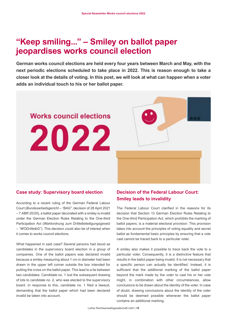# <span id="page-18-0"></span>**"Keep smiling..." – Smiley on ballot paper jeopardises works council election**

**German works council elections are held every four years between March and May, with the next periodic elections scheduled to take place in 2022. This is reason enough to take a closer look at the details of voting. In this post, we will look at what can happen when a voter adds an individual touch to his or her ballot paper.**

### **Case study: Supervisory board election**

**Works council elections** 

2022

According to a recent ruling of the German Federal Labour Court (*Bundesarbeitsgericht – "BAG"*, decision of 28 April 2021 – 7 ABR 20/20), a ballot paper decorated with a smiley is invalid under the German Election Rules Relating to the One-third Participation Act (*Wahlordnung zum Drittelbeteiligungsgesetz – "WODrittelbG"*). This decision could also be of interest when it comes to works council elections.

What happened in said case? Several persons had stood as candidates in the supervisory board election in a group of companies. One of the ballot papers was declared invalid because a smiley measuring about 1 cm in diameter had been drawn in the upper left corner outside the box intended for putting the cross on the ballot paper. This lead to a tie between two candidates. Candidate no. 1 lost the subsequent drawing of lots to candidate no. 2, who was elected to the supervisory board. In response to this, candidate no. 1 filed a lawsuit, demanding that the ballot paper which had been declared invalid be taken into account.

# **Decision of the Federal Labour Court: Smiley leads to invalidity**

The Federal Labour Court clarified in the reasons for its decision that Section 13 German Election Rules Relating to the One-third Participation Act, which prohibits the marking of ballot papers, is a material electoral provision. This provision takes into account the principles of voting equality and secret ballot as fundamental basic principles by ensuring that a vote cast cannot be traced back to a particular voter.

A smiley also makes it possible to trace back the vote to a particular voter. Consequently, it is a distinctive feature that results in the ballot paper being invalid. It is not necessary that a specific person can actually be identified. Instead, it is sufficient that the additional marking of the ballot paper beyond the mark made by the voter to cast his or her vote might, in combination with other circumstances, allow conclusions to be drawn about the identity of the voter. In case of doubt, drawing conclusions about the identity of the voter should be deemed possible whenever the ballot paper contains an additional marking.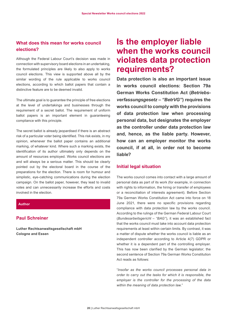### <span id="page-19-0"></span>**What does this mean for works council elections?**

Although the Federal Labour Court's decision was made in connection with supervisory board elections in an undertaking, the formulated principles are likely to also apply to works council elections. This view is supported above all by the similar wording of the rule applicable to works council elections, according to which ballot papers that contain a distinctive feature are to be deemed invalid.

The ultimate goal is to guarantee the principle of free elections at the level of undertakings and businesses through the requirement of a secret ballot. The requirement of uniform ballot papers is an important element in guaranteeing compliance with this principle.

The secret ballot is already jeopardised if there is an abstract risk of a particular voter being identified. This risk exists, in my opinion, whenever the ballot paper contains an additional marking, of whatever kind. Where such a marking exists, the identification of its author ultimately only depends on the amount of resources employed. Works council elections are and will always be a serious matter. This should be clearly pointed out by the electoral board in the course of the preparations for the election. There is room for humour and simplistic, eye-catching communications during the election campaign. On the ballot paper, however, they lead to invalid votes and can unnecessarily increase the efforts and costs involved in the election.

#### **Author**

#### **Paul Schreiner**

**Luther Rechtsanwaltsgesellschaft mbH Cologne and Essen**

# **Is the employer liable when the works council violates data protection requirements?**

**Data protection is also an important issue in works council elections: Section 79a German Works Constitution Act (***Betriebsverfassungsgesetz – "BetrVG"***) requires the works council to comply with the provisions of data protection law when processing personal data, but designates the employer as the controller under data protection law and, hence, as the liable party. However, how can an employer monitor the works council, if at all, in order not to become liable?**

#### **Initial legal situation**

The works council comes into contact with a large amount of personal data as part of its work (for example, in connection with rights to information, the hiring or transfer of employees or a reconciliation of interests agreement). Before Section 79a German Works Constitution Act came into force on 18 June 2021, there were no specific provisions regarding compliance with data protection law by the works council. According to the rulings of the German Federal Labour Court (*Bundesarbeitsgericht – "BAG"*), it was an established fact that the works council must take into account data protection requirements at least within certain limits. By contrast, it was a matter of dispute whether the works council is liable as an independent controller according to Article 4(7) GDPR or whether it is a dependent part of the controlling employer. This has now been clarified by the German legislator; the second sentence of Section 79a German Works Constitution Act reads as follows:

"*Insofar as the works council processes personal data in order to carry out the tasks for which it is responsible, the employer is the controller for the processing of the data within the meaning of data protection law.*"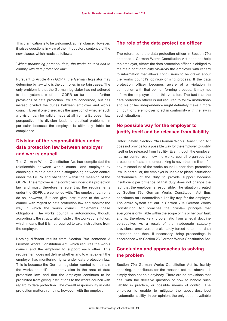This clarification is to be welcomed, at first glance. However, it raises questions in view of the introductory sentence of the new clause, which reads as follows:

"*When processing personal data, the works council has to comply with data protection law.*"

Pursuant to Article 4(7) GDPR, the German legislator may determine by law who is the controller, in certain cases. The only problem is that the German legislator has not adhered to the systematics of the GDPR as far as the further provisions of data protection law are concerned, but has instead divided the duties between employer and works council. Even if one disregards the question of whether such a division can be validly made at all from a European law perspective, this division leads to practical problems, in particular because the employer is ultimately liable for compliance.

# **Division of the responsibilities under data protection law between employer and works council**

The German Works Constitution Act has complicated the relationship between works council and employer by choosing a middle path and distinguishing between control under the GDPR and obligation within the meaning of the GDPR. The employer is the controller under data protection law and must, therefore, ensure that the requirements under the GDPR are complied with. The employer can only do so, however, if it can give instructions to the works council with regard to data protection law and monitor the way in which the works council implements these obligations. The works council is autonomous, though, according to the structural principle of the works constitution, which means that it is not required to take instructions from the employer.

Nothing different results from Section 79a sentence 3 German Works Constitution Act, which requires the works council and the employer to support each other. This requirement does not define whether and to what extent the employer has monitoring rights under data protection law. This is because the German legislator wanted to maintain the works council's autonomy also in the area of data protection law, and that the employer continues to be prohibited from giving instructions to the works council with regard to data protection. The overall responsibility in data protection matters remains, however, with the employer.

### **The role of the data protection officer**

The reference to the data protection officer in Section 79a sentence 4 German Works Constitution Act does not help the employer, either: the data protection officer is obliged to maintain confidentiality vis-à-vis the employer with regard to information that allows conclusions to be drawn about the works council's opinion-forming process. If the data protection officer becomes aware of a violation in connection with that opinion-forming process, it may not inform the employer about this violation. The fact that the data protection officer is not required to follow instructions and his or her independence might definitely make it more difficult for the employer to act in conformity with the law in such situations.

### **No possible way for the employer to justify itself and be released from liability**

Unfortunately, Section 79a German Works Constitution Act does not provide for a possible way for the employer to justify itself or be released from liability. Even though the employer has no control over how the works council organises the protection of data, the undertaking is nevertheless liable for any misconduct of the works council under data protection law. In particular, the employer is unable to plead insufficient performance of the duty to provide support because insufficient performance of that duty does not change the fact that the employer is responsible. The situation created by Section 79a German Works Constitution Act thus constitutes an uncontrollable liability trap for the employer. The entire system set out in Section 79a German Works Constitution Act breaches the civil-law principle that everyone is only liable within the scope of his or her own fault and is, therefore, very problematic from a legal doctrine perspective. As a result of the inadequate statutory provisions, employers are ultimately forced to tolerate data breaches and then, if necessary, bring proceedings in accordance with Section 23 German Works Constitution Act.

# **Conclusion and approaches to solving the problem**

Section 79a German Works Constitution Act is, frankly speaking, superfluous for the reasons set out above – it simply does not help anybody. There are no provisions that deal with the decisive question of how to handle such liability in practice, or possible means of control. The employer is unable to mitigate the above-described systematic liability. In our opinion, the only option available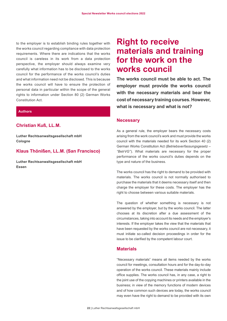<span id="page-21-0"></span>to the employer is to establish binding rules together with the works council regarding compliance with data protection requirements. Where there are indications that the works council is careless in its work from a data protection perspective, the employer should always examine very carefully what information has to be disclosed to the works council for the performance of the works council's duties and what information need not be disclosed. This is because the works council will have to ensure the protection of personal data in particular within the scope of the general rights to information under Section 80 (2) German Works Constitution Act.

#### **Authors**

#### **Christian Kuß, LL.M.**

**Luther Rechtsanwaltsgesellschaft mbH Cologne**

#### **Klaus Thönißen, LL.M. (San Francisco)**

**Luther Rechtsanwaltsgesellschaft mbH Essen**

# **Right to receive materials and training for the work on the works council**

**The works council must be able to act. The employer must provide the works council with the necessary materials and bear the cost of necessary training courses. However, what is necessary and what is not?**

#### **Necessary**

As a general rule, the employer bears the necessary costs arising from the work council's work and must provide the works council with the materials needed for its work Section 40 (2) German Works Constitution Act (*Betriebsverfassungsgesetz – "BetrVG"*). What materials are necessary for the proper performance of the works council's duties depends on the type and nature of the business.

The works council has the right to demand to be provided with materials. The works council is not normally authorised to purchase the materials that it deems necessary itself and then charge the employer for these costs. The employer has the right to choose between various suitable materials.

The question of whether something is necessary is not answered by the employer, but by the works council. The latter chooses at its discretion after a due assessment of the circumstances, taking into account its needs and the employer's interests. If the employer takes the view that the materials that have been requested by the works council are not necessary, it must initiate so-called decision proceedings in order for the issue to be clarified by the competent labour court.

#### **Materials**

"Necessary materials" means all items needed by the works council for meetings, consultation hours and for the day-to-day operation of the works council. These materials mainly include office supplies. The works council has, in any case, a right to the joint use of the copying machines or printers available in the business; in view of the memory functions of modern devices and of how common such devices are today, the works council may even have the right to demand to be provided with its own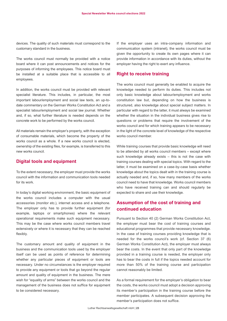devices. The quality of such materials must correspond to the customary standard in the business.

The works council must normally be provided with a notice board where it can post announcements and notices for the purposes of informing the employees. This notice board must be installed at a suitable place that is accessible to all employees.

In addition, the works council must be provided with relevant specialist literature. This includes, in particular, the most important labour/employment and social law texts, an up-todate commentary on the German Works Constitution Act and a specialist labour/employment and social law journal. Whether and, if so, what further literature is needed depends on the concrete work to be performed by the works council.

All materials remain the employer's property, with the exception of consumable materials, which become the property of the works council as a whole. If a new works council is elected, ownership of the existing files, for example, is transferred to this new works council.

#### **Digital tools and equipment**

To the extent necessary, the employer must provide the works council with the information and communication tools needed for its work.

In today's digital working environment, the basic equipment of the works council includes a computer with the usual accessories (monitor etc.), internet access and a telephone. The employer only has to provide further equipment (for example, laptops or smartphones) where the relevant operational requirements make such equipment necessary. This may be the case where works council members travel extensively or where it is necessary that they can be reached flexibly.

The customary amount and quality of equipment in the business and the communication tools used by the employer itself can be used as points of reference for determining whether any particular pieces of equipment or tools are necessary. Under no circumstances is the employer required to provide any equipment or tools that go beyond the regular amount and quality of equipment in the business. The mere wish for "equality of arms" between the works council and the management of the business does not suffice for equipment to be considered necessary.

If the employer uses an intra-company information and communication system (intranet), the works council must be given the opportunity to create its own pages where it can provide information in accordance with its duties, without the employer having the right to exert any influence.

#### **Right to receive training**

The works council must generally be enabled to acquire the knowledge needed to perform its duties. This includes not only basic knowledge about labour/employment and works constitution law but, depending on how the business is structured, also knowledge about special subject matters. In particular with regard to the latter, it must always be examined whether the situation in the individual business gives rise to questions or problems that require the involvement of the works council and for which training appears to be necessary in the light of the concrete level of knowledge of the respective works council member.

While training courses that provide basic knowledge will need to be attended by all works council members – except where such knowledge already exists – this is not the case with training courses dealing with special topics. With regard to the latter, it must be examined on a case-by-case basis whether knowledge about the topics dealt with in the training course is actually needed and, if so, how many members of the works council need to have that knowledge. Works council members who have received training can and should regularly be expected to share and use their knowledge.

### **Assumption of the cost of training and continued education**

Pursuant to Section 40 (2) German Works Constitution Act, the employer must bear the cost of training courses and educational programmes that provide necessary knowledge. In the case of training courses providing knowledge that is needed for the works council's work (cf. Section 37 (6) German Works Constitution Act), the employer must always bear the costs. In the event that only part of the knowledge provided in a training course is needed, the employer only has to bear the costs in full if the topics needed account for more than 50% of the training course and participation cannot reasonably be limited.

As a formal requirement for the employer's obligation to bear the costs, the works council must adopt a decision approving its member's participation in the training course before the member participates. A subsequent decision approving the member's participation does not suffice.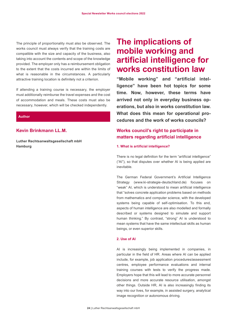<span id="page-23-0"></span>The principle of proportionality must also be observed. The works council must always verify that the training costs are compatible with the size and capacity of the business, also taking into account the contents and scope of the knowledge provided. The employer only has a reimbursement obligation to the extent that the costs incurred are within the limits of what is reasonable in the circumstances. A particularly attractive training location is definitely not a criterion.

If attending a training course is necessary, the employer must additionally reimburse the travel expenses and the cost of accommodation and meals. These costs must also be necessary, however, which will be checked independently.

#### **Author**

#### **Kevin Brinkmann LL.M.**

**Luther Rechtsanwaltsgesellschaft mbH Hamburg**

# **The implications of mobile working and artificial intelligence for works constitution law**

**"Mobile working" and "artificial intelligence" have been hot topics for some time. Now, however, these terms have arrived not only in everyday business operations, but also in works constitution law. What does this mean for operational procedures and the work of works councils?** 

# **Works council's right to participate in matters regarding artificial intelligence**

#### **1. What is artificial intelligence?**

There is no legal definition for the term "artificial intelligence" ("AI"), so that disputes over whether AI is being applied are inevitable.

The German Federal Government's Artificial Intelligence Strategy (www.ki-strategie-deutschland.de) focuses on "weak" AI, which is understood to mean artificial intelligence that "solves concrete application problems based on methods from mathematics and computer science, with the developed systems being capable of self-optimisation. To this end, aspects of human intelligence are also modelled and formally described or systems designed to simulate and support human thinking." By contrast, "strong" AI is understood to mean systems that have the same intellectual skills as human beings, or even superior skills.

#### **2. Use of AI**

AI is increasingly being implemented in companies, in particular in the field of HR. Areas where AI can be applied include, for example, job application procedures/assessment centres, employee performance evaluations and internal training courses with tests to verify the progress made. Employers hope that this will lead to more accurate personnel decisions and more accurate resource utilisation, amongst other things. Outside HR, AI is also increasingly finding its way into our lives, for example, in assisted surgery, analytical image recognition or autonomous driving.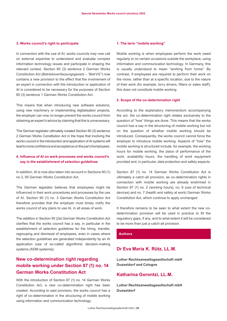#### **3. Works council's right to participate**

In connection with the use of AI, works councils may now call on external expertise to understand and evaluate complex information technology issues and participate in shaping the relevant context. Section 80 (3) sentence 2 German Works Constitution Act (*Betriebsverfassungsgesetz – "BetrVG"*) now contains a new provision to the effect that the involvement of an expert in connection with the introduction or application of AI is considered to be necessary for the purposes of Section 80 (3) sentence 1 German Works Constitution Act.

This means that when introducing new software solutions, using new machinery or implementing digitalisation projects, the employer can now no longer prevent the works council from obtaining an expert's advice by claiming that this is unnecessary.

The German legislator ultimately created Section 80 (3) sentence 2 German Works Constitution Act in the hope that involving the works council in the introduction and application of AI systems will lead to more confidence and acceptance on the part of employees.

#### **4. Influence of AI on work processes and works council's say in the establishment of selection guidelines**

In addition, AI is now also taken into account in Sections 90 (1) no 3, 95 German Works Constitution Act.

The German legislator believes that employees might be influenced in their work procedures and processes by the use of AI. Section 90 (1) no. 3 German Works Constitution Act therefore provides that the employer must timely notify the works council of any plans to use AI, in all areas of work.

The addition in Section 95 (2a) German Works Constitution Act clarifies that the works council has a say, in particular in the establishment of selection guidelines for the hiring, transfer, regrouping and dismissal of employees, even in cases where the selection guidelines are generated independently by an AI application (use of so-called algorithmic decision-making systems (ADM systems)).

# **New co-determination right regarding mobile working under Section 87 (1) no. 14 German Works Constitution Act**

With the introduction of Section 87 (1) no. 14 German Works Constitution Act, a new co-determination right has been created. According to said provision, the works council has a right of co-determination in the structuring of mobile working using information and communication technology.

#### **1. The term "mobile working"**

Mobile working is when employees perform the work owed regularly or on certain occasions outside the workplace, using information and communication technology. In Germany, this is usually understood to mean "working from home". By contrast, if employees are required to perform their work on the move, rather than at a specific location, due to the nature of their work (for example, lorry drivers, fitters or sales staff), this does not constitute mobile working.

#### **2. Scope of the co-determination right**

According to the explanatory memorandum accompanying the act, the co-determination right relates exclusively to the question of "how" things are done. This means that the works council has a say in the structuring of mobile working but not on the question of whether mobile working should be introduced. Consequently, the works council cannot force the employer to introduce mobile working. Aspects of "how" the mobile working is structured include, for example, the working hours for mobile working, the place of performance of the work, availability hours, the handling of work equipment provided and, in particular, data protection and safety aspects.

Section 87 (1) no. 14 German Works Constitution Act is ultimately a catch-all provision, as co-determination rights in connection with mobile working are already enshrined in Section 87 (1) no. 2 (working hours), no. 6 (use of technical devices) and no. 7 (health and safety at work) German Works Constitution Act, which continue to apply unchanged.

It therefore remains to be seen to what extent the new codetermination provision will be used in practice to fill the regulatory gaps, if any, and to what extent it will be considered to be more than just a catch-all provision.

#### **Authors**

#### **Dr Eva Maria K. Rütz, LL.M.**

**Luther Rechtsanwaltsgesellschaft mbH Dusseldorf and Cologne**

#### **Katharina Gorontzi, LL.M.**

**Luther Rechtsanwaltsgesellschaft mbH Dusseldorf**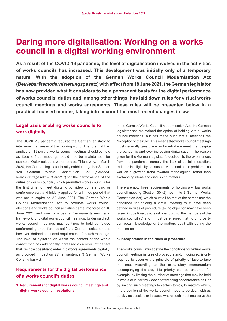# <span id="page-25-0"></span>**Daring more digitalisation: Working on a works council in a digital working environment**

**As a result of the COVID-19 pandemic, the level of digitalisation involved in the activities of works councils has increased. This development was initially only of a temporary nature. With the adoption of the German Works Council Modernisation Act (***Betriebsrätemodernisierungsgesetz***) with effect from 18 June 2021, the German legislator has now provided what it considers to be a permanent basis for the digital performance of works councils' duties and, among other things, has laid down rules for virtual works council meetings and works agreements. These rules will be presented below in a practical-focused manner, taking into account the most recent changes in law.**

# **Legal basis enabling works councils to work digitally**

The COVID-19 pandemic required the German legislator to intervene in all areas of the working world. The rule that had applied until then that works council meetings should be held as face-to-face meetings could not be maintained, for example. Quick solutions were needed. This is why, in March 2020, the German legislator hastily cobbled together Section 129 German Works Constitution Act (*Betriebsverfassungsgesetz – "BetrVG"*) for the performance of the duties of works councils, which permitted works councils for the first time to meet digitally, by video conferencing or conference call, and initially applied for a limited period that was set to expire on 30 June 2021. The German Works Council Modernisation Act to promote works council elections and works council activities came into force on 18 June 2021 and now provides a (permanent) new legal framework for digital works council meetings. Under said act, works council meetings may continue to held by "video conferencing or conference call"; the German legislator has, however, defined additional requirements for such meetings. The level of digitalisation within the context of the works constitution has additionally increased as a result of the fact that it is now possible to enter into works agreements digitally, as provided in Section 77 (2) sentence 3 German Works Constitution Act.

# **Requirements for the digital performance of a works council's duties**

**1. Requirements for digital works council meetings and digital works council resolutions**

In the German Works Council Modernisation Act, the German legislator has maintained the option of holding virtual works council meetings, but has made such virtual meetings the "exception to the rule". This means that works council meetings must generally take place as face-to-face meetings, despite the pandemic and ever-increasing digitalisation. The reason given for the German legislator's decision is the experiences from the pandemic, namely the lack of social interaction, reduced intelligibility because of video and audio problems, as well as a growing trend towards monologuing, rather than exchanging ideas and discussing matters.

There are now three requirements for holding a virtual works council meeting (Section 30 (2) nos. 1 to 3 German Works Constitution Act), which must all be met at the same time: the conditions for holding a virtual meeting must have been defined in rules of procedure (a), no objection may have been raised in due time by at least one fourth of the members of the works council (b) and it must be ensured that no third party can obtain knowledge of the matters dealt with during the meeting (c).

#### **a) Incorporation in the rules of procedure**

The works council must define the conditions for virtual works council meetings in rules of procedure and, in doing so, is only required to observe the principle of priority of face-to-face meetings. According to the explanatory memorandum accompanying the act, this priority can be ensured, for example, by limiting the number of meetings that may be held in whole or in part by video conferencing or conference call, or by limiting such meetings to certain topics, to matters which, in the opinion of the works council, need to be dealt with as quickly as possible or in cases where such meetings serve the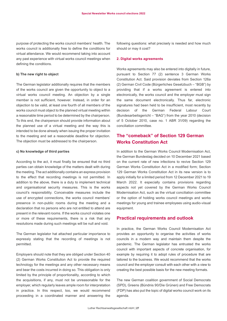purpose of protecting the works council members' health. The works council is additionally free to define the conditions for virtual attendance. We would recommend taking into account any past experience with virtual works council meetings when defining the conditions.

#### **b) The new right to object**

The German legislator additionally requires that the members of the works council are given the opportunity to object to a virtual works council meeting. An objection by a single member is not sufficient, however. Instead, in order for an objection to be valid, at least one fourth of all members of the works council must object to the planned virtual meeting within a reasonable time period to be determined by the chairperson. To this end, the chairperson should provide information about the planned use of a virtual meeting and the way this is intended to be done already when issuing the proper invitation to the meeting and set a reasonable deadline for objection. The objection must be addressed to the chairperson.

#### **c) No knowledge of third parties**

According to the act, it must finally be ensured that no third parties can obtain knowledge of the matters dealt with during the meeting. The act additionally contains an express provision to the effect that recording meetings is not permitted. In addition to the above, there is a duty to implement technical and organisational security measures. This is the works council's responsibility. Conceivable measures include the use of encrypted connections, the works council members' presence in non-public rooms during the meeting and a declaration that no persons who are not entitled to attend are present in the relevant rooms. If the works council violates one or more of these requirements, there is a risk that any resolutions made during such meetings will be null and void.

The German legislator hat attached particular importance to expressly stating that the recording of meetings is not permitted.

Employers should note that they are obliged under Section 40 (2) German Works Constitution Act to provide the required technology for the meetings and any other necessary means and bear the costs incurred in doing so. This obligation is only limited by the principle of proportionality, according to which the acquisitions, if any, must not be unreasonable for the employer, which regularly leaves ample room for interpretation in practice. In this respect, too, we would recommend proceeding in a coordinated manner and answering the

following questions: what precisely is needed and how much should or may it cost?

#### **2. Digital works agreements**

Works agreements may also be entered into digitally in future, pursuant to Section 77 (2) sentence 3 German Works Constitution Act. Said provision deviates from Section 126a (2) German Civil Code (Bürgerliches Gesetzbuch – "BGB") by providing that if a works agreement is entered into electronically, the works council and the employer must sign the same document electronically. Thus far, electronic signatures had been held to be insufficient, most recently by decision of the German Federal Labour Court (Bundesarbeitsgericht – "BAG") from the year 2010 (decision of 5 October 2010, case no. 1 ABR 31/09) regarding the conciliation committee.

# **The "comeback" of Section 129 German Works Constitution Act**

In addition to the German Works Council Modernisation Act, the German Bundestag decided on 10 December 2021 based on the current rate of new infections to revive Section 129 German Works Constitution Act in a modified form; Section 129 German Works Constitution Act in its new version is to apply initially for a limited period from 12 December 2021 to 19 March 2022. It especially contains provisions regarding aspects not yet covered by the German Works Council Modernisation Act, such as the virtual conciliation committee or the option of holding works council meetings and works meetings for young and trainee employees using audio-visual equipment.

#### **Practical requirements and outlook**

In practice, the German Works Council Modernisation Act provides an opportunity to organise the activities of works councils in a modern way and maintain them despite the pandemic. The German legislator has entrusted the works council with important aspects of concrete organisation, for example by requiring it to adopt rules of procedure that are tailored to the business. We would recommend that the works council and the employer consult with each other with a view to creating the best possible basis for the new meeting formats.

The new German coalition government of Social Democrats (SPD), Greens (Bündnis 90/Die Grünen) and Free Democrats (FDP) has also put the topic of digital works council work on its agenda.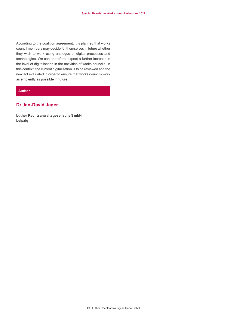According to the coalition agreement, it is planned that works council members may decide for themselves in future whether they wish to work using analogue or digital processes and technologies. We can, therefore, expect a further increase in the level of digitalisation in the activities of works councils. In this context, the current digitalisation is to be reviewed and the new act evaluated in order to ensure that works councils work as efficiently as possible in future.

#### **Author**

#### **Dr Jan-David Jäger**

**Luther Rechtsanwaltsgesellschaft mbH Leipzig**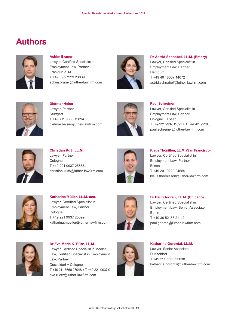# <span id="page-28-0"></span>**Authors**



**Achim Braner** Lawyer, Certified Specialist in Employment Law, Partner Frankfurt a. M. T +49 69 27229 23839 achim.braner@luther-lawfirm.com



**Dr Astrid Schnabel, LL.M. (Emory)** Lawyer, Certified Specialist in Employment Law, Partner **Hamburg** T +49 40 18067 14072 astrid.schnabel@luther-lawfirm.com



**Dietmar Heise** Lawyer, Partner **Stuttgart** T +49 711 9338 12894 dietmar.heise@luther-lawfirm.com



**Paul Schreiner** Lawyer, Certified Specialist in Employment Law, Partner Cologne + Essen T +49 221 9937 11691 + T +49 201 9220 0 paul.schreiner@luther-lawfirm.com



**Christian Kuß, LL.M.** Lawyer, Partner Cologne T +49 221 9937 25686 christian.kuss@luther-lawfirm.com



**Klaus Thönißen, LL.M. (San Francisco)** Lawyer, Certified Specialist in Employment Law, Partner Essen T +49 201 9220 24659 klaus.thoenissen@luther-lawfirm.com



**Katharina Müller, LL.M. oec.** Lawyer, Certified Specialist in Employment Law, Partner Cologne T +49 221 9937 25099 katharina.mueller@luther-lawfirm.com



**Dr Paul Gooren, LL.M. (Chicago)** Lawyer, Certified Specialist in Employment Law, Senior Associate Berlin T +49 30 52133 21142 paul.gooren@luther-lawfirm.com



**Dr Eva Maria K. Rütz, LL.M.** Lawyer, Certified Specialist in Medical Law, Certified Specialist in Employment Law, Partner Dusseldorf + Cologne T +49 211 5660 27048 + T +49 221 9937 0 eva.ruetz@luther-lawfirm.com



**Katharina Gorontzi, LL.M.** Lawyer, Senior Associate Dusseldorf T +49 211 5660 25038 katharina.gorontzi@luther-lawfirm.com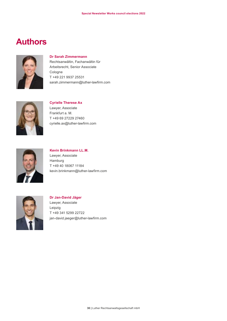# **Authors**



#### **Dr Sarah Zimmermann**

Rechtsanwältin, Fachanwältin für Arbeitsrecht, Senior Associate Cologne T +49 221 9937 25531 sarah.zimmermann@luther-lawfirm.com



#### **Cyrielle Therese Ax**

Lawyer, Associate Frankfurt a. M. T +49 69 27229 27460 cyrielle.ax@luther-lawfirm.com



**Kevin Brinkmann LL.M.** Lawyer, Associate Hamburg T +49 40 18067 11184 kevin.brinkmann@luther-lawfirm.com



**Dr Jan-David Jäger** Lawyer, Associate Leipzig T +49 341 5299 22722 jan-david.jaeger@luther-lawfirm.com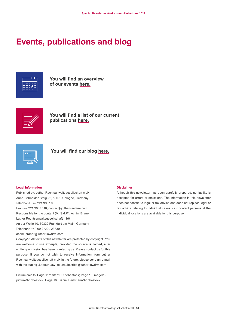# <span id="page-30-0"></span>**Events, publications and blog**



**You will find an overview of our events [here.](https://www.luther-lawfirm.com/en/newsroom/events?tx_fwluther_pi7%5B__referrer%5D%5B%40extension%5D=FwLuther&tx_fwluther_pi7%5B__referrer%5D%5B%40vendor%5D=Luther&tx_fwluther_pi7%5B__referrer%5D%5B%40controller%5D=Event&tx_fwluther_pi7%5B__referrer%5D%5B%40action%5D=listFull&tx_fwluther_pi7%5B__referrer%5D%5Barguments%5D=YTowOnt9f71f8e73e2d85c5ced484afa354c7ebe2cbb56d3&tx_fwluther_pi7%5B__referrer%5D%5B%40request%5D=a%3A4%3A%7Bs%3A10%3A%22%40extension%22%3Bs%3A8%3A%22FwLuther%22%3Bs%3A11%3A%22%40controller%22%3Bs%3A5%3A%22Event%22%3Bs%3A7%3A%22%40action%22%3Bs%3A8%3A%22listFull%22%3Bs%3A7%3A%22%40vendor%22%3Bs%3A6%3A%22Luther%22%3B%7D2674081ebc3dbcd0491f99389627546b918f1066&tx_fwluther_pi7%5B__trustedProperties%5D=a%3A1%3A%7Bs%3A6%3A%22filter%22%3Ba%3A6%3A%7Bs%3A4%3A%22text%22%3Bi%3A1%3Bs%3A8%3A%22category%22%3Bi%3A1%3Bs%3A15%3A%22practiceService%22%3Bi%3A1%3Bs%3A15%3A%22industryService%22%3Bi%3A1%3Bs%3A8%3A%22location%22%3Bi%3A1%3Bs%3A4%3A%22year%22%3Bi%3A1%3B%7D%7D03ad8cb6e4fe16387d2a215dac211bdd9103dd1c&tx_fwluther_pi7%5Bfilter%5D%5Btext%5D=&tx_fwluther_pi7%5Bfilter%5D%5Bcategory%5D=&tx_fwluther_pi7%5Bfilter%5D%5BpracticeService%5D=3&tx_fwluther_pi7%5Bfilter%5D%5BindustryService%5D=&tx_fwluther_pi7%5Bfilter%5D%5Blocation%5D=&tx_fwluther_pi7%5Bfilter%5D%5Byear%5D=)**



**You will find a list of our current publications [here.](https://www.luther-lawfirm.com/en/newsroom/publications?tx_fwluther_pi4%5B__referrer%5D%5B%40extension%5D=FwLuther&tx_fwluther_pi4%5B__referrer%5D%5B%40vendor%5D=Luther&tx_fwluther_pi4%5B__referrer%5D%5B%40controller%5D=Publication&tx_fwluther_pi4%5B__referrer%5D%5B%40action%5D=listFull&tx_fwluther_pi4%5B__referrer%5D%5Barguments%5D=YTowOnt9f71f8e73e2d85c5ced484afa354c7ebe2cbb56d3&tx_fwluther_pi4%5B__referrer%5D%5B%40request%5D=a%3A4%3A%7Bs%3A10%3A%22%40extension%22%3Bs%3A8%3A%22FwLuther%22%3Bs%3A11%3A%22%40controller%22%3Bs%3A11%3A%22Publication%22%3Bs%3A7%3A%22%40action%22%3Bs%3A8%3A%22listFull%22%3Bs%3A7%3A%22%40vendor%22%3Bs%3A6%3A%22Luther%22%3B%7D8208fdea3b0c1fc834bac7431c6d1719e55fffcb&tx_fwluther_pi4%5B__trustedProperties%5D=a%3A1%3A%7Bs%3A6%3A%22filter%22%3Ba%3A5%3A%7Bs%3A4%3A%22text%22%3Bi%3A1%3Bs%3A3%3A%22cat%22%3Bi%3A1%3Bs%3A15%3A%22industryService%22%3Bi%3A1%3Bs%3A15%3A%22practiceService%22%3Bi%3A1%3Bs%3A4%3A%22year%22%3Bi%3A1%3B%7D%7D72ea3703f458e3d7de6d9e0696830440c3d39bb5&tx_fwluther_pi4%5Bfilter%5D%5Btext%5D=&tx_fwluther_pi4%5Bfilter%5D%5Bcat%5D=&tx_fwluther_pi4%5Bfilter%5D%5BindustryService%5D=&tx_fwluther_pi4%5Bfilter%5D%5BpracticeService%5D=24&tx_fwluther_pi4%5Bfilter%5D%5Byear%5D=)**



You will find our blog [here.](https://www.luther-lawfirm.com/en/newsroom/blog?tx_fwluther_pi5%5B__referrer%5D%5B%40extension%5D=FwLuther&tx_fwluther_pi5%5B__referrer%5D%5B%40vendor%5D=Luther&tx_fwluther_pi5%5B__referrer%5D%5B%40controller%5D=News&tx_fwluther_pi5%5B__referrer%5D%5B%40action%5D=uebersicht&tx_fwluther_pi5%5B__referrer%5D%5Barguments%5D=YTowOnt9f71f8e73e2d85c5ced484afa354c7ebe2cbb56d3&tx_fwluther_pi5%5B__referrer%5D%5B%40request%5D=a%3A4%3A%7Bs%3A10%3A%22%40extension%22%3Bs%3A8%3A%22FwLuther%22%3Bs%3A11%3A%22%40controller%22%3Bs%3A4%3A%22News%22%3Bs%3A7%3A%22%40action%22%3Bs%3A10%3A%22uebersicht%22%3Bs%3A7%3A%22%40vendor%22%3Bs%3A6%3A%22Luther%22%3B%7D42f6fe7cadb4cac015b2c8a0bb829efe812356ce&tx_fwluther_pi5%5B__trustedProperties%5D=a%3A1%3A%7Bs%3A6%3A%22filter%22%3Ba%3A4%3A%7Bs%3A4%3A%22text%22%3Bi%3A1%3Bs%3A15%3A%22industryService%22%3Bi%3A1%3Bs%3A15%3A%22practiceService%22%3Bi%3A1%3Bs%3A4%3A%22year%22%3Bi%3A1%3B%7D%7Dfa30f07391e8839bb48a8e869ac40aba702c881c&tx_fwluther_pi5%5Bfilter%5D%5Btext%5D=&tx_fwluther_pi5%5Bfilter%5D%5BindustryService%5D=&tx_fwluther_pi5%5Bfilter%5D%5BpracticeService%5D=3&tx_fwluther_pi5%5Bfilter%5D%5Byear%5D=)

#### **Legal information**

Published by: Luther Rechtsanwaltsgesellschaft mbH Anna-Schneider-Steig 22, 50678 Cologne, Germany Telephone +49 221 9937 0 Fax +49 221 9937 110, contact@luther-lawfirm.com Responsible for the content (V.i.S.d.P.): Achim Braner Luther Rechtsanwaltsgesellschaft mbH An der Welle 10, 60322 Frankfurt am Main, Germany Telephone +49 69 27229 23839 achim.braner@luther-lawfirm.com *Copyright:* All texts of this newsletter are protected by copyright. You are welcome to use excerpts, provided the source is named, after written permission has been granted by us. Please contact us for this purpose. If you do not wish to receive information from Luther Rechtsanwaltsgesellschaft mbH in the future, please send an e-mail with the stating "Labour Law" to unsubscribe@luther-lawfirm.com

Picture credits: Page 1: rosifan19/Adobestock; Page 13: magelepicture/Adobestock; Page 16: Daniel Berkmann/Adobestock

#### **Disclaimer**

Although this newsletter has been carefully prepared, no liability is accepted for errors or omissions. The information in this newsletter does not constitute legal or tax advice and does not replace legal or tax advice relating to individual cases. Our contact persons at the individual locations are available for this purpose.